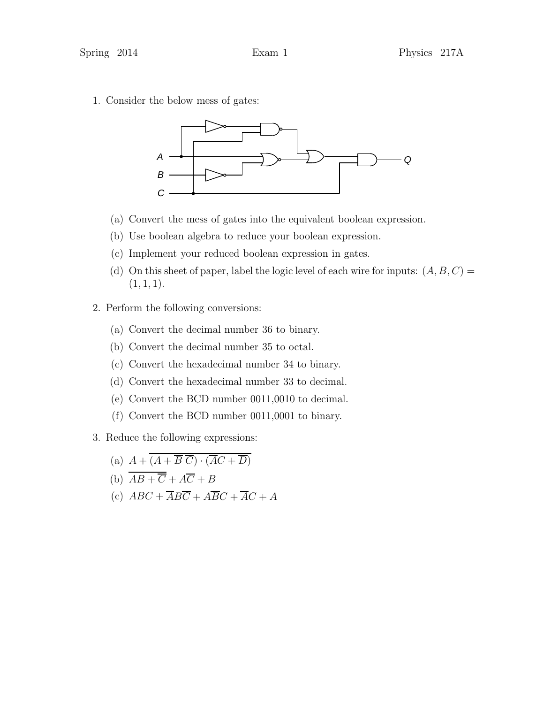1. Consider the below mess of gates:



- (a) Convert the mess of gates into the equivalent boolean expression.
- (b) Use boolean algebra to reduce your boolean expression.
- (c) Implement your reduced boolean expression in gates.
- (d) On this sheet of paper, label the logic level of each wire for inputs:  $(A, B, C)$  =  $(1, 1, 1).$
- 2. Perform the following conversions:
	- (a) Convert the decimal number 36 to binary.
	- (b) Convert the decimal number 35 to octal.
	- (c) Convert the hexadecimal number 34 to binary.
	- (d) Convert the hexadecimal number 33 to decimal.
	- (e) Convert the BCD number 0011,0010 to decimal.
	- (f) Convert the BCD number 0011,0001 to binary.
- 3. Reduce the following expressions:
	- (a)  $A + \overline{(A + \overline{B}\ \overline{C}) \cdot (\overline{A}C + \overline{D})}$
	- (b)  $\overline{AB + \overline{C}} + \overline{AC} + \overline{B}$
	- (c)  $ABC + \overline{A}B\overline{C} + A\overline{B}C + \overline{A}C + A$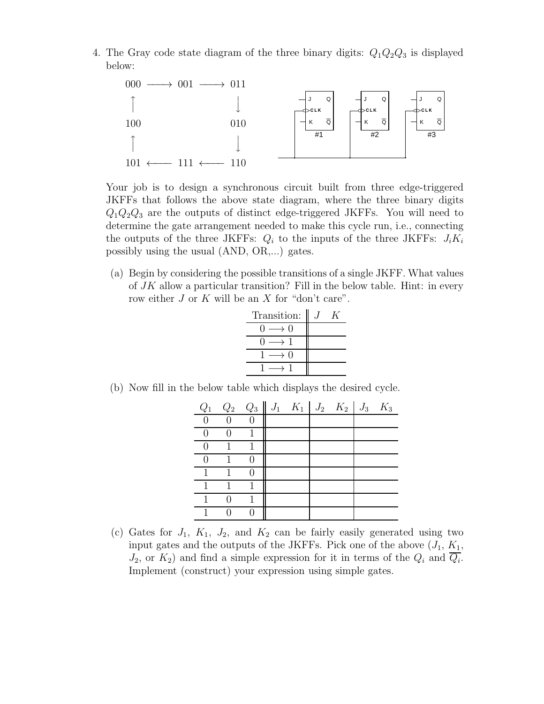4. The Gray code state diagram of the three binary digits:  $Q_1Q_2Q_3$  is displayed below:



Your job is to design a synchronous circuit built from three edge-triggered JKFFs that follows the above state diagram, where the three binary digits  $Q_1Q_2Q_3$  are the outputs of distinct edge-triggered JKFFs. You will need to determine the gate arrangement needed to make this cycle run, i.e., connecting the outputs of the three JKFFs:  $Q_i$  to the inputs of the three JKFFs:  $J_iK_i$ possibly using the usual (AND, OR,...) gates.

(a) Begin by considering the possible transitions of a single JKFF. What values of  $JK$  allow a particular transition? Fill in the below table. Hint: in every row either  $J$  or  $K$  will be an  $X$  for "don't care".

| Transition: |  |
|-------------|--|
|             |  |
|             |  |
|             |  |
|             |  |

(b) Now fill in the below table which displays the desired cycle.

| $Q_1$    | $Q_2$ $Q_3$   $J_1$ $K_1$   $J_2$ $K_2$   $J_3$ $K_3$ |  |  |  |
|----------|-------------------------------------------------------|--|--|--|
| $\Omega$ |                                                       |  |  |  |
|          |                                                       |  |  |  |
|          |                                                       |  |  |  |
|          |                                                       |  |  |  |
|          |                                                       |  |  |  |
|          |                                                       |  |  |  |
|          |                                                       |  |  |  |
|          |                                                       |  |  |  |

(c) Gates for  $J_1$ ,  $K_1$ ,  $J_2$ , and  $K_2$  can be fairly easily generated using two input gates and the outputs of the JKFFs. Pick one of the above  $(J_1, K_1,$  $J_2$ , or  $K_2$ ) and find a simple expression for it in terms of the  $Q_i$  and  $\overline{Q_i}$ . Implement (construct) your expression using simple gates.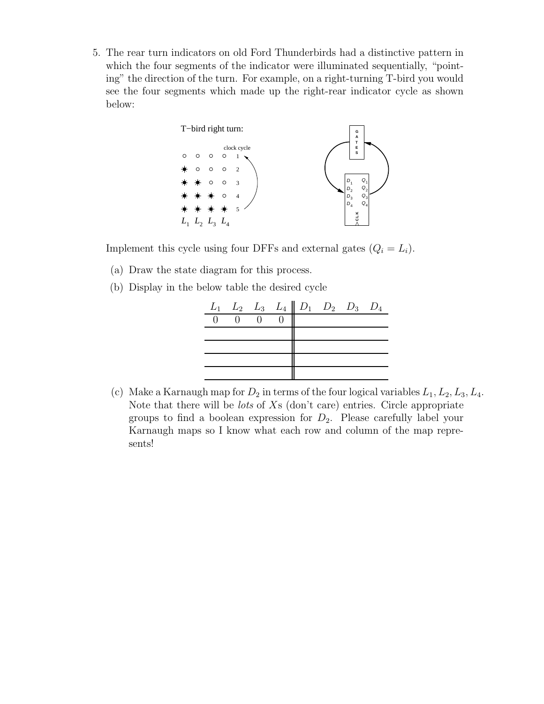5. The rear turn indicators on old Ford Thunderbirds had a distinctive pattern in which the four segments of the indicator were illuminated sequentially, "pointing" the direction of the turn. For example, on a right-turning T-bird you would see the four segments which made up the right-rear indicator cycle as shown below:



Implement this cycle using four DFFs and external gates  $(Q_i = L_i)$ .

- (a) Draw the state diagram for this process.
- (b) Display in the below table the desired cycle

|  |                     |  | $L_1$ $L_2$ $L_3$ $L_4 \parallel D_1$ $D_2$ $D_3$ $D_4$ |  |
|--|---------------------|--|---------------------------------------------------------|--|
|  | $0 \quad 0 \quad 0$ |  |                                                         |  |
|  |                     |  |                                                         |  |
|  |                     |  |                                                         |  |
|  |                     |  |                                                         |  |
|  |                     |  |                                                         |  |

(c) Make a Karnaugh map for  $D_2$  in terms of the four logical variables  $L_1, L_2, L_3, L_4$ . Note that there will be  $\textit{losts}$  of  $\textit{Xs}$  (don't care) entries. Circle appropriate groups to find a boolean expression for  $D_2$ . Please carefully label your Karnaugh maps so I know what each row and column of the map represents!